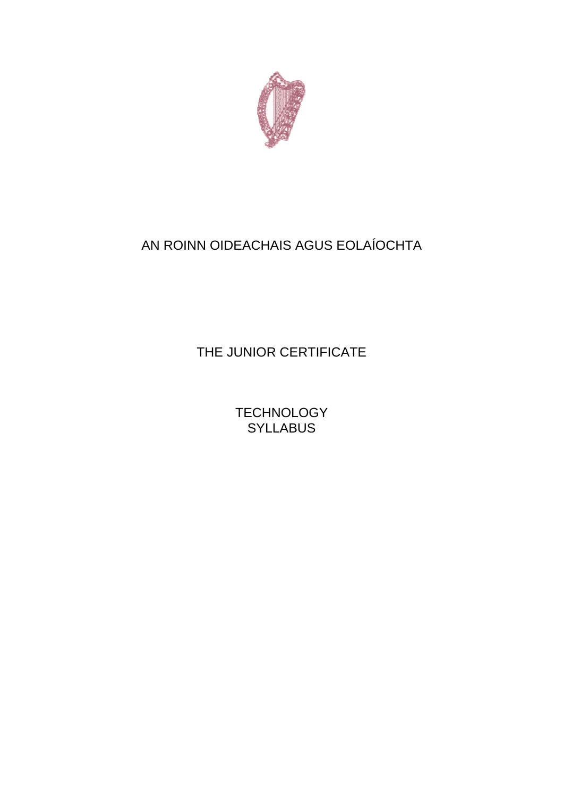

# AN ROINN OIDEACHAIS AGUS EOLAÍOCHTA

THE JUNIOR CERTIFICATE

**TECHNOLOGY SYLLABUS**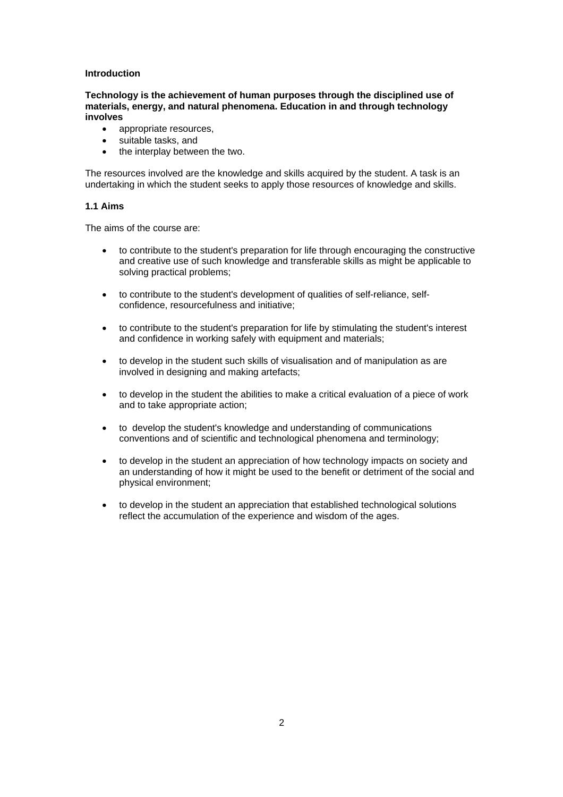# **Introduction**

**Technology is the achievement of human purposes through the disciplined use of materials, energy, and natural phenomena. Education in and through technology involves** 

- appropriate resources,
- suitable tasks, and
- the interplay between the two.

The resources involved are the knowledge and skills acquired by the student. A task is an undertaking in which the student seeks to apply those resources of knowledge and skills.

## **1.1 Aims**

The aims of the course are:

- to contribute to the student's preparation for life through encouraging the constructive and creative use of such knowledge and transferable skills as might be applicable to solving practical problems;
- to contribute to the student's development of qualities of self-reliance, selfconfidence, resourcefulness and initiative;
- to contribute to the student's preparation for life by stimulating the student's interest and confidence in working safely with equipment and materials;
- to develop in the student such skills of visualisation and of manipulation as are involved in designing and making artefacts;
- to develop in the student the abilities to make a critical evaluation of a piece of work and to take appropriate action;
- to develop the student's knowledge and understanding of communications conventions and of scientific and technological phenomena and terminology;
- to develop in the student an appreciation of how technology impacts on society and an understanding of how it might be used to the benefit or detriment of the social and physical environment;
- to develop in the student an appreciation that established technological solutions reflect the accumulation of the experience and wisdom of the ages.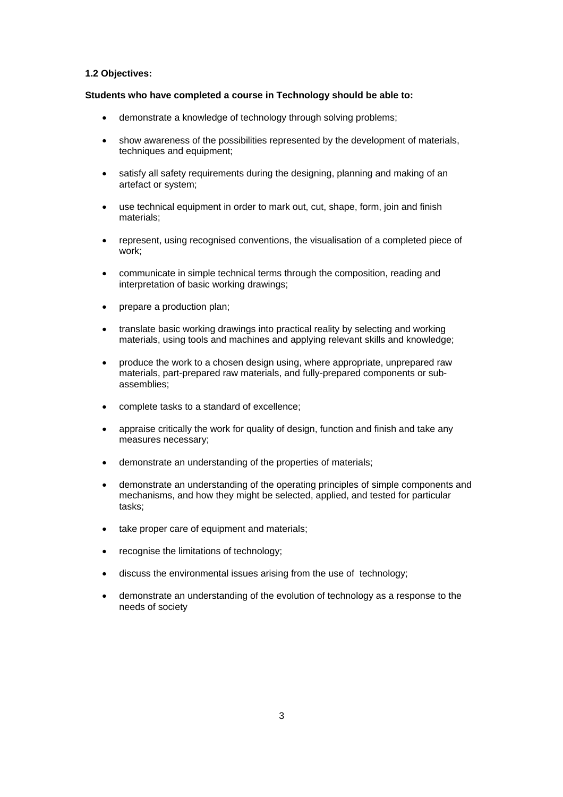#### **1.2 Objectives:**

#### **Students who have completed a course in Technology should be able to:**

- demonstrate a knowledge of technology through solving problems;
- show awareness of the possibilities represented by the development of materials, techniques and equipment;
- satisfy all safety requirements during the designing, planning and making of an artefact or system;
- use technical equipment in order to mark out, cut, shape, form, join and finish materials;
- represent, using recognised conventions, the visualisation of a completed piece of work;
- communicate in simple technical terms through the composition, reading and interpretation of basic working drawings;
- prepare a production plan;
- translate basic working drawings into practical reality by selecting and working materials, using tools and machines and applying relevant skills and knowledge;
- produce the work to a chosen design using, where appropriate, unprepared raw materials, part-prepared raw materials, and fully-prepared components or subassemblies;
- complete tasks to a standard of excellence;
- appraise critically the work for quality of design, function and finish and take any measures necessary;
- demonstrate an understanding of the properties of materials;
- demonstrate an understanding of the operating principles of simple components and mechanisms, and how they might be selected, applied, and tested for particular tasks;
- take proper care of equipment and materials;
- recognise the limitations of technology;
- discuss the environmental issues arising from the use of technology;
- demonstrate an understanding of the evolution of technology as a response to the needs of society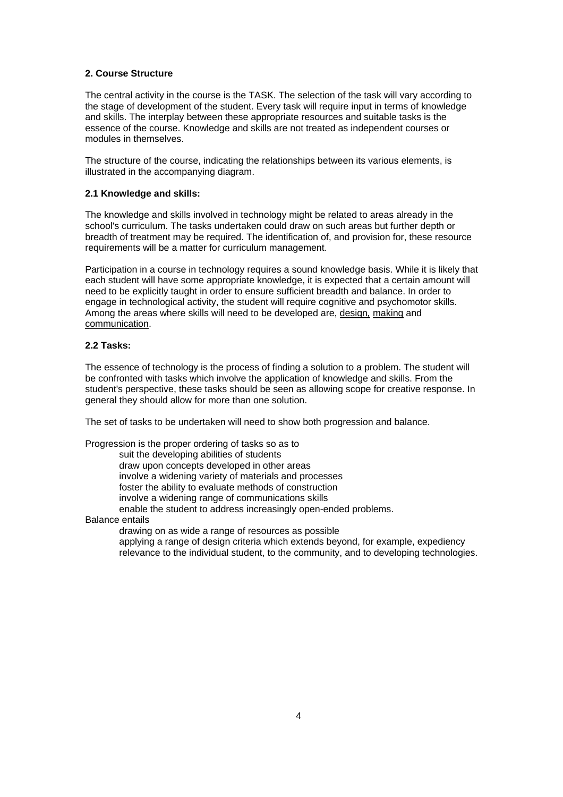# **2. Course Structure**

The central activity in the course is the TASK. The selection of the task will vary according to the stage of development of the student. Every task will require input in terms of knowledge and skills. The interplay between these appropriate resources and suitable tasks is the essence of the course. Knowledge and skills are not treated as independent courses or modules in themselves.

The structure of the course, indicating the relationships between its various elements, is illustrated in the accompanying diagram.

## **2.1 Knowledge and skills:**

The knowledge and skills involved in technology might be related to areas already in the school's curriculum. The tasks undertaken could draw on such areas but further depth or breadth of treatment may be required. The identification of, and provision for, these resource requirements will be a matter for curriculum management.

Participation in a course in technology requires a sound knowledge basis. While it is likely that each student will have some appropriate knowledge, it is expected that a certain amount will need to be explicitly taught in order to ensure sufficient breadth and balance. In order to engage in technological activity, the student will require cognitive and psychomotor skills. Among the areas where skills will need to be developed are, design*,* making and communication.

#### **2.2 Tasks:**

The essence of technology is the process of finding a solution to a problem. The student will be confronted with tasks which involve the application of knowledge and skills. From the student's perspective, these tasks should be seen as allowing scope for creative response. In general they should allow for more than one solution.

The set of tasks to be undertaken will need to show both progression and balance.

Progression is the proper ordering of tasks so as to

suit the developing abilities of students

draw upon concepts developed in other areas

involve a widening variety of materials and processes

foster the ability to evaluate methods of construction

involve a widening range of communications skills

enable the student to address increasingly open-ended problems.

## Balance entails

drawing on as wide a range of resources as possible applying a range of design criteria which extends beyond, for example, expediency relevance to the individual student, to the community, and to developing technologies.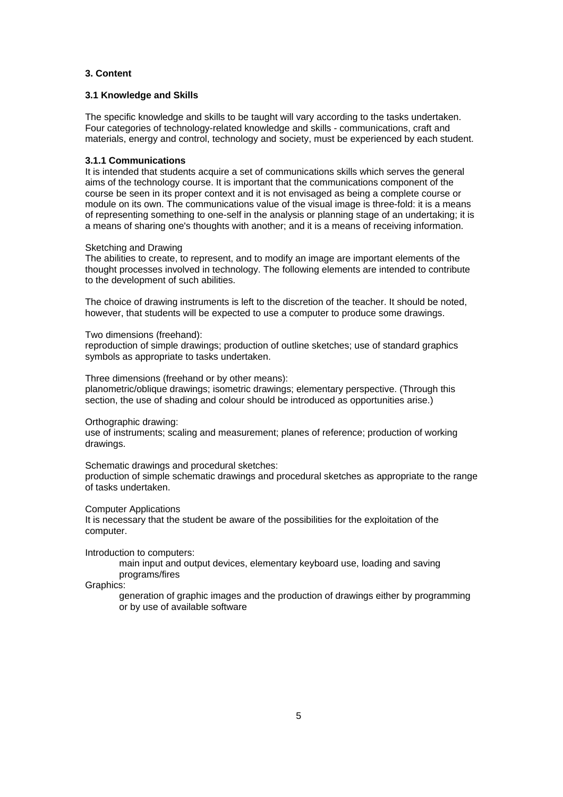# **3. Content**

## **3.1 Knowledge and Skills**

The specific knowledge and skills to be taught will vary according to the tasks undertaken. Four categories of technology-related knowledge and skills - communications, craft and materials, energy and control, technology and society, must be experienced by each student.

## **3.1.1 Communications**

It is intended that students acquire a set of communications skills which serves the general aims of the technology course. It is important that the communications component of the course be seen in its proper context and it is not envisaged as being a complete course or module on its own. The communications value of the visual image is three-fold: it is a means of representing something to one-self in the analysis or planning stage of an undertaking; it is a means of sharing one's thoughts with another; and it is a means of receiving information.

#### Sketching and Drawing

The abilities to create, to represent, and to modify an image are important elements of the thought processes involved in technology. The following elements are intended to contribute to the development of such abilities.

The choice of drawing instruments is left to the discretion of the teacher. It should be noted, however, that students will be expected to use a computer to produce some drawings.

Two dimensions (freehand):

reproduction of simple drawings; production of outline sketches; use of standard graphics symbols as appropriate to tasks undertaken.

Three dimensions (freehand or by other means):

planometric/oblique drawings; isometric drawings; elementary perspective. (Through this section, the use of shading and colour should be introduced as opportunities arise.)

Orthographic drawing:

use of instruments; scaling and measurement; planes of reference; production of working drawings.

## Schematic drawings and procedural sketches:

production of simple schematic drawings and procedural sketches as appropriate to the range of tasks undertaken.

#### Computer Applications

It is necessary that the student be aware of the possibilities for the exploitation of the computer.

Introduction to computers:

main input and output devices, elementary keyboard use, loading and saving programs/fires

Graphics:

generation of graphic images and the production of drawings either by programming or by use of available software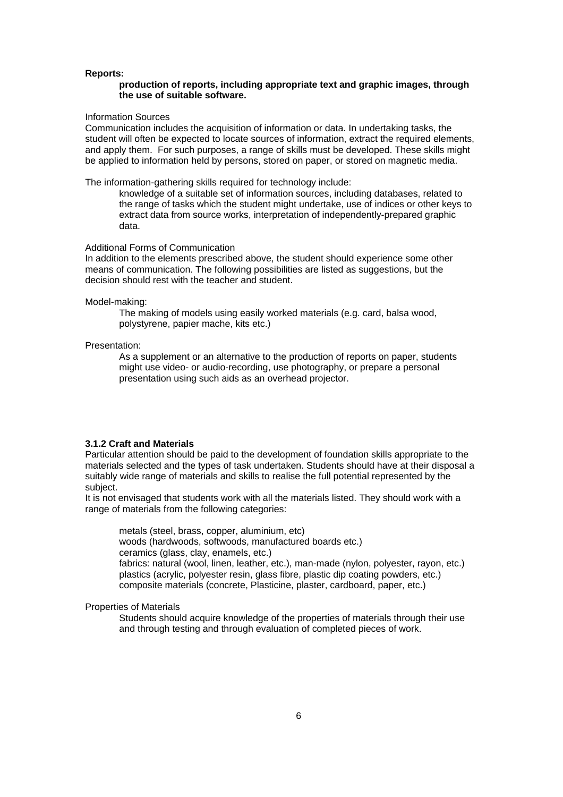#### **Reports:**

## **production of reports, including appropriate text and graphic images, through the use of suitable software.**

#### Information Sources

Communication includes the acquisition of information or data. In undertaking tasks, the student will often be expected to locate sources of information, extract the required elements, and apply them. For such purposes, a range of skills must be developed. These skills might be applied to information held by persons, stored on paper, or stored on magnetic media.

The information-gathering skills required for technology include:

knowledge of a suitable set of information sources, including databases, related to the range of tasks which the student might undertake, use of indices or other keys to extract data from source works, interpretation of independently-prepared graphic data.

## Additional Forms of Communication

In addition to the elements prescribed above, the student should experience some other means of communication. The following possibilities are listed as suggestions, but the decision should rest with the teacher and student.

#### Model-making:

The making of models using easily worked materials (e.g. card, balsa wood, polystyrene, papier mache, kits etc.)

#### Presentation:

As a supplement or an alternative to the production of reports on paper, students might use video- or audio-recording, use photography, or prepare a personal presentation using such aids as an overhead projector.

## **3.1.2 Craft and Materials**

Particular attention should be paid to the development of foundation skills appropriate to the materials selected and the types of task undertaken. Students should have at their disposal a suitably wide range of materials and skills to realise the full potential represented by the subject.

It is not envisaged that students work with all the materials listed. They should work with a range of materials from the following categories:

metals (steel, brass, copper, aluminium, etc) woods (hardwoods, softwoods, manufactured boards etc.) ceramics (glass, clay, enamels, etc.) fabrics: natural (wool, linen, leather, etc.), man-made (nylon, polyester, rayon, etc.) plastics (acrylic, polyester resin, glass fibre, plastic dip coating powders, etc.) composite materials (concrete, Plasticine, plaster, cardboard, paper, etc.)

#### Properties of Materials

Students should acquire knowledge of the properties of materials through their use and through testing and through evaluation of completed pieces of work.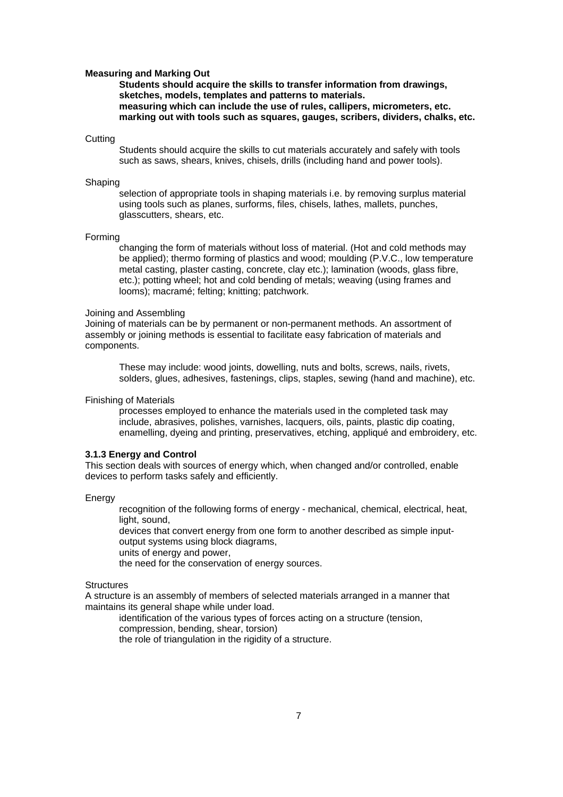#### **Measuring and Marking Out**

**Students should acquire the skills to transfer information from drawings, sketches, models, templates and patterns to materials. measuring which can include the use of rules, callipers, micrometers, etc. marking out with tools such as squares, gauges, scribers, dividers, chalks, etc.** 

#### **Cutting**

Students should acquire the skills to cut materials accurately and safely with tools such as saws, shears, knives, chisels, drills (including hand and power tools).

#### Shaping

selection of appropriate tools in shaping materials i.e. by removing surplus material using tools such as planes, surforms, files, chisels, lathes, mallets, punches, glasscutters, shears, etc.

#### Forming

changing the form of materials without loss of material. (Hot and cold methods may be applied); thermo forming of plastics and wood; moulding (P.V.C., low temperature metal casting, plaster casting, concrete, clay etc.); lamination (woods, glass fibre, etc.); potting wheel; hot and cold bending of metals; weaving (using frames and looms); macramé; felting; knitting; patchwork.

#### Joining and Assembling

Joining of materials can be by permanent or non-permanent methods. An assortment of assembly or joining methods is essential to facilitate easy fabrication of materials and components.

These may include: wood joints, dowelling, nuts and bolts, screws, nails, rivets, solders, glues, adhesives, fastenings, clips, staples, sewing (hand and machine), etc.

Finishing of Materials

processes employed to enhance the materials used in the completed task may include, abrasives, polishes, varnishes, lacquers, oils, paints, plastic dip coating, enamelling, dyeing and printing, preservatives, etching, appliqué and embroidery, etc.

## **3.1.3 Energy and Control**

This section deals with sources of energy which, when changed and/or controlled, enable devices to perform tasks safely and efficiently.

## **Energy**

recognition of the following forms of energy - mechanical, chemical, electrical, heat, light, sound,

devices that convert energy from one form to another described as simple inputoutput systems using block diagrams,

units of energy and power,

the need for the conservation of energy sources.

#### **Structures**

A structure is an assembly of members of selected materials arranged in a manner that maintains its general shape while under load.

identification of the various types of forces acting on a structure (tension,

compression, bending, shear, torsion)

the role of triangulation in the rigidity of a structure.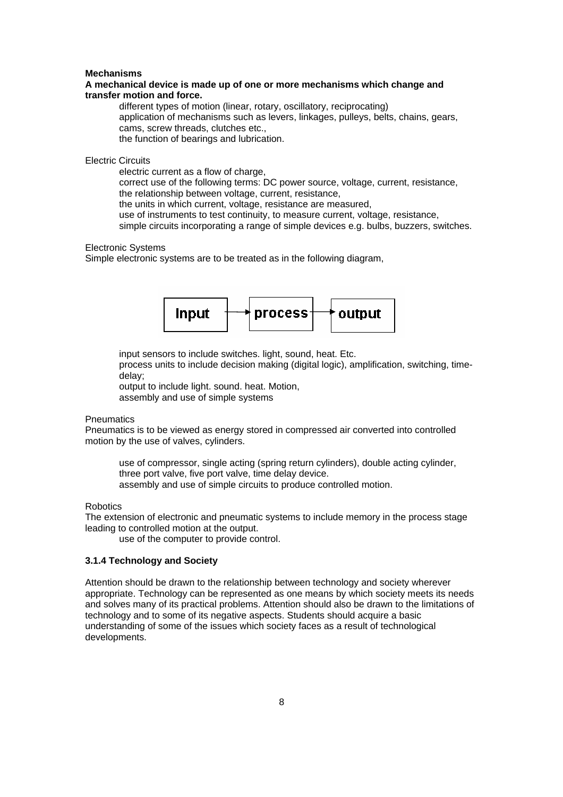#### **Mechanisms**

#### **A mechanical device is made up of one or more mechanisms which change and transfer motion and force.**

different types of motion (linear, rotary, oscillatory, reciprocating) application of mechanisms such as levers, linkages, pulleys, belts, chains, gears, cams, screw threads, clutches etc., the function of bearings and lubrication.

# Electric Circuits

electric current as a flow of charge.

correct use of the following terms: DC power source, voltage, current, resistance, the relationship between voltage, current, resistance,

the units in which current, voltage, resistance are measured,

use of instruments to test continuity, to measure current, voltage, resistance,

simple circuits incorporating a range of simple devices e.g. bulbs, buzzers, switches.

## Electronic Systems

Simple electronic systems are to be treated as in the following diagram,



input sensors to include switches. light, sound, heat. Etc.

process units to include decision making (digital logic), amplification, switching, timedelay;

output to include light. sound. heat. Motion,

assembly and use of simple systems

## **Pneumatics**

Pneumatics is to be viewed as energy stored in compressed air converted into controlled motion by the use of valves, cylinders.

use of compressor, single acting (spring return cylinders), double acting cylinder, three port valve, five port valve, time delay device. assembly and use of simple circuits to produce controlled motion.

#### **Robotics**

The extension of electronic and pneumatic systems to include memory in the process stage leading to controlled motion at the output.

use of the computer to provide control.

## **3.1.4 Technology and Society**

Attention should be drawn to the relationship between technology and society wherever appropriate. Technology can be represented as one means by which society meets its needs and solves many of its practical problems. Attention should also be drawn to the limitations of technology and to some of its negative aspects. Students should acquire a basic understanding of some of the issues which society faces as a result of technological developments.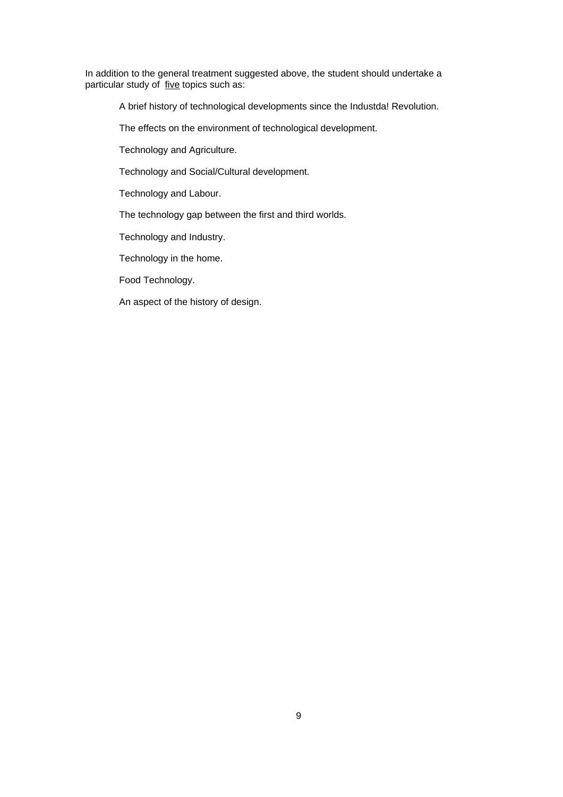In addition to the general treatment suggested above, the student should undertake a particular study of five topics such as:

A brief history of technological developments since the Industda! Revolution.

The effects on the environment of technological development.

Technology and Agriculture.

Technology and Social/Cultural development.

Technology and Labour.

The technology gap between the first and third worlds.

Technology and Industry.

Technology in the home.

Food Technology.

An aspect of the history of design.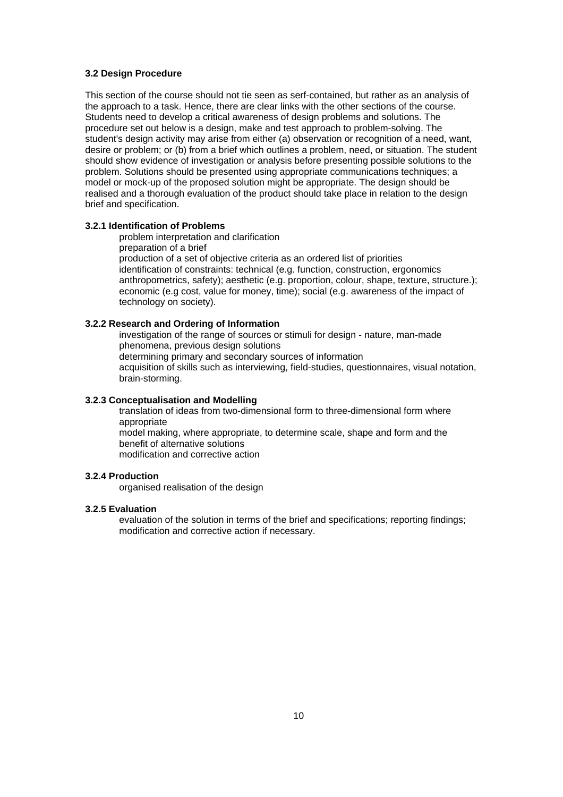# **3.2 Design Procedure**

This section of the course should not tie seen as serf-contained, but rather as an analysis of the approach to a task. Hence, there are clear links with the other sections of the course. Students need to develop a critical awareness of design problems and solutions. The procedure set out below is a design, make and test approach to problem-solving. The student's design activity may arise from either (a) observation or recognition of a need, want, desire or problem; or (b) from a brief which outlines a problem, need, or situation. The student should show evidence of investigation or analysis before presenting possible solutions to the problem. Solutions should be presented using appropriate communications techniques; a model or mock-up of the proposed solution might be appropriate. The design should be realised and a thorough evaluation of the product should take place in relation to the design brief and specification.

## **3.2.1 Identification of Problems**

problem interpretation and clarification

preparation of a brief

production of a set of objective criteria as an ordered list of priorities identification of constraints: technical (e.g. function, construction, ergonomics anthropometrics, safety); aesthetic (e.g. proportion, colour, shape, texture, structure.); economic (e.g cost, value for money, time); social (e.g. awareness of the impact of technology on society).

### **3.2.2 Research and Ordering of Information**

investigation of the range of sources or stimuli for design - nature, man-made phenomena, previous design solutions determining primary and secondary sources of information acquisition of skills such as interviewing, field-studies, questionnaires, visual notation, brain-storming.

#### **3.2.3 Conceptualisation and Modelling**

translation of ideas from two-dimensional form to three-dimensional form where appropriate model making, where appropriate, to determine scale, shape and form and the benefit of alternative solutions

modification and corrective action

#### **3.2.4 Production**

organised realisation of the design

## **3.2.5 Evaluation**

evaluation of the solution in terms of the brief and specifications; reporting findings; modification and corrective action if necessary.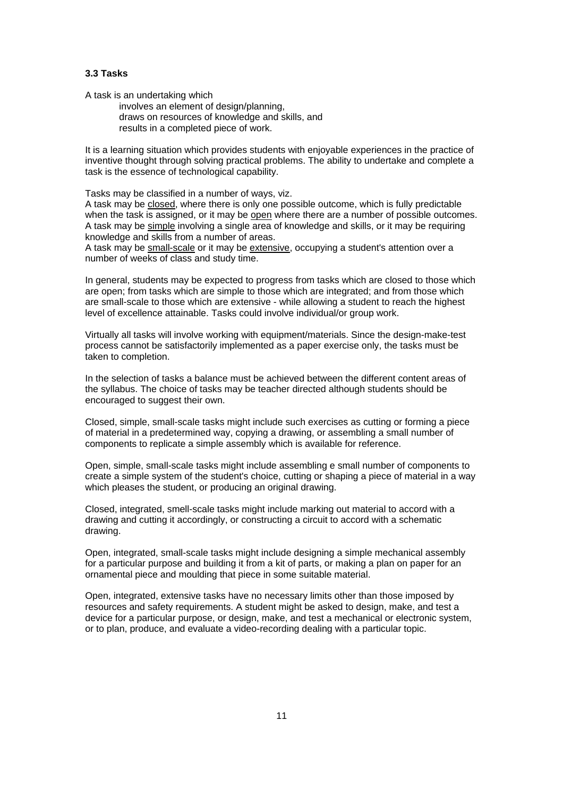# **3.3 Tasks**

A task is an undertaking which

involves an element of design/planning, draws on resources of knowledge and skills, and results in a completed piece of work.

It is a learning situation which provides students with enjoyable experiences in the practice of inventive thought through solving practical problems. The ability to undertake and complete a task is the essence of technological capability.

Tasks may be classified in a number of ways, viz.

A task may be closed, where there is only one possible outcome, which is fully predictable when the task is assigned, or it may be open where there are a number of possible outcomes. A task may be simple involving a single area of knowledge and skills, or it may be requiring knowledge and skills from a number of areas.

A task may be small-scale or it may be extensive, occupying a student's attention over a number of weeks of class and study time.

In general, students may be expected to progress from tasks which are closed to those which are open; from tasks which are simple to those which are integrated; and from those which are small-scale to those which are extensive - while allowing a student to reach the highest level of excellence attainable. Tasks could involve individual/or group work.

Virtually all tasks will involve working with equipment/materials. Since the design-make-test process cannot be satisfactorily implemented as a paper exercise only, the tasks must be taken to completion.

In the selection of tasks a balance must be achieved between the different content areas of the syllabus. The choice of tasks may be teacher directed although students should be encouraged to suggest their own.

Closed, simple, small-scale tasks might include such exercises as cutting or forming a piece of material in a predetermined way, copying a drawing, or assembling a small number of components to replicate a simple assembly which is available for reference.

Open, simple, small-scale tasks might include assembling e small number of components to create a simple system of the student's choice, cutting or shaping a piece of material in a way which pleases the student, or producing an original drawing.

Closed, integrated, smell-scale tasks might include marking out material to accord with a drawing and cutting it accordingly, or constructing a circuit to accord with a schematic drawing.

Open, integrated, small-scale tasks might include designing a simple mechanical assembly for a particular purpose and building it from a kit of parts, or making a plan on paper for an ornamental piece and moulding that piece in some suitable material.

Open, integrated, extensive tasks have no necessary limits other than those imposed by resources and safety requirements. A student might be asked to design, make, and test a device for a particular purpose, or design, make, and test a mechanical or electronic system, or to plan, produce, and evaluate a video-recording dealing with a particular topic.